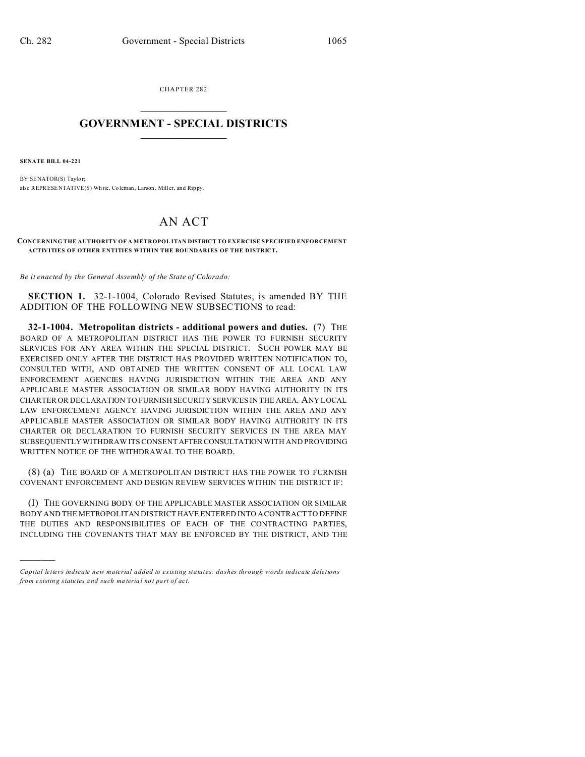CHAPTER 282  $\overline{\phantom{a}}$  , where  $\overline{\phantom{a}}$ 

## **GOVERNMENT - SPECIAL DISTRICTS**  $\_$   $\_$   $\_$   $\_$   $\_$   $\_$   $\_$   $\_$   $\_$

**SENATE BILL 04-221**

)))))

BY SENATOR(S) Taylor; also REPRESENTATIVE(S) Wh ite, Coleman, Larson , Miller, and Rippy.

## AN ACT

**CONCERNING THE AUTHORITY OF A METROPOL ITAN DISTRICT TO EXERCISE SPECIFIED ENFORCEMENT ACTIVITIES OF OTHER ENTITIES WITHIN THE BOUNDARIES OF THE DISTRICT.**

*Be it enacted by the General Assembly of the State of Colorado:*

**SECTION 1.** 32-1-1004, Colorado Revised Statutes, is amended BY THE ADDITION OF THE FOLLOWING NEW SUBSECTIONS to read:

**32-1-1004. Metropolitan districts - additional powers and duties.** (7) THE BOARD OF A METROPOLITAN DISTRICT HAS THE POWER TO FURNISH SECURITY SERVICES FOR ANY AREA WITHIN THE SPECIAL DISTRICT. SUCH POWER MAY BE EXERCISED ONLY AFTER THE DISTRICT HAS PROVIDED WRITTEN NOTIFICATION TO, CONSULTED WITH, AND OBTAINED THE WRITTEN CONSENT OF ALL LOCAL LAW ENFORCEMENT AGENCIES HAVING JURISDICTION WITHIN THE AREA AND ANY APPLICABLE MASTER ASSOCIATION OR SIMILAR BODY HAVING AUTHORITY IN ITS CHARTER OR DECLARATION TO FURNISH SECURITY SERVICES IN THE AREA. ANY LOCAL LAW ENFORCEMENT AGENCY HAVING JURISDICTION WITHIN THE AREA AND ANY APPLICABLE MASTER ASSOCIATION OR SIMILAR BODY HAVING AUTHORITY IN ITS CHARTER OR DECLARATION TO FURNISH SECURITY SERVICES IN THE AREA MAY SUBSEQUENTLY WITHDRAW ITS CONSENT AFTERCONSULTATION WITH AND PROVIDING WRITTEN NOTICE OF THE WITHDRAWAL TO THE BOARD.

(8) (a) THE BOARD OF A METROPOLITAN DISTRICT HAS THE POWER TO FURNISH COVENANT ENFORCEMENT AND DESIGN REVIEW SERVICES WITHIN THE DISTRICT IF:

(I) THE GOVERNING BODY OF THE APPLICABLE MASTER ASSOCIATION OR SIMILAR BODY AND THE METROPOLITAN DISTRICT HAVE ENTERED INTO A CONTRACT TO DEFINE THE DUTIES AND RESPONSIBILITIES OF EACH OF THE CONTRACTING PARTIES, INCLUDING THE COVENANTS THAT MAY BE ENFORCED BY THE DISTRICT, AND THE

*Capital letters indicate new material added to existing statutes; dashes through words indicate deletions from e xistin g statu tes a nd such ma teria l no t pa rt of ac t.*